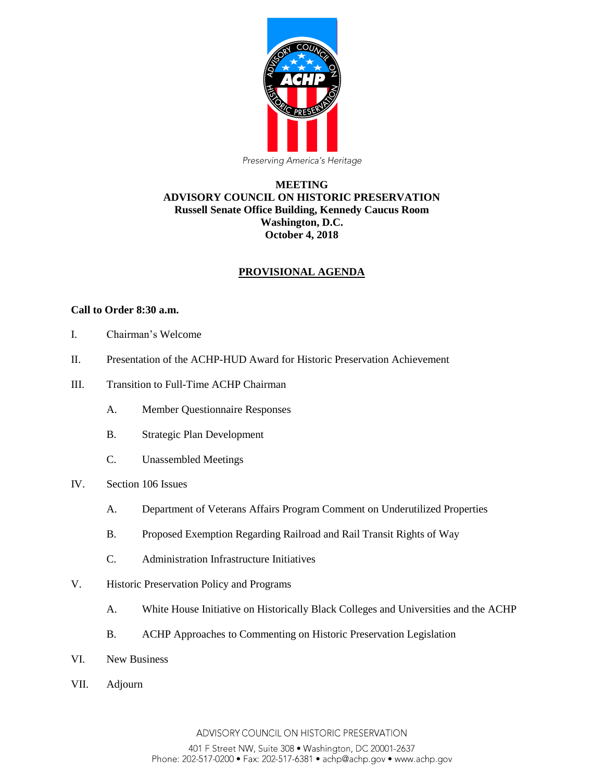

### **MEETING ADVISORY COUNCIL ON HISTORIC PRESERVATION Russell Senate Office Building, Kennedy Caucus Room Washington, D.C. October 4, 2018**

# **PROVISIONAL AGENDA**

#### **Call to Order 8:30 a.m.**

- I. Chairman's Welcome
- II. Presentation of the ACHP-HUD Award for Historic Preservation Achievement
- III. Transition to Full-Time ACHP Chairman
	- A. Member Questionnaire Responses
	- B. Strategic Plan Development
	- C. Unassembled Meetings
- IV. Section 106 Issues
	- A. Department of Veterans Affairs Program Comment on Underutilized Properties
	- B. Proposed Exemption Regarding Railroad and Rail Transit Rights of Way
	- C. Administration Infrastructure Initiatives
- V. Historic Preservation Policy and Programs
	- A. White House Initiative on Historically Black Colleges and Universities and the ACHP
	- B. ACHP Approaches to Commenting on Historic Preservation Legislation
- VI. New Business
- VII. Adjourn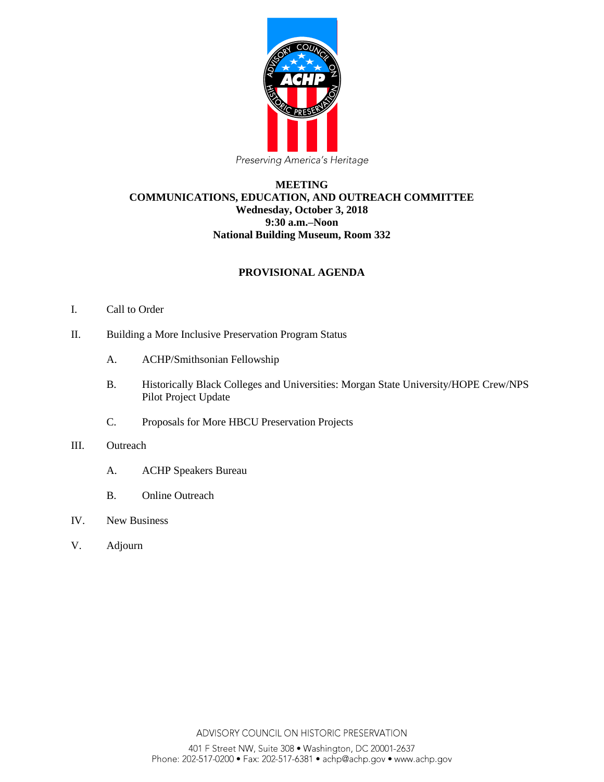

### **MEETING COMMUNICATIONS, EDUCATION, AND OUTREACH COMMITTEE Wednesday, October 3, 2018 9:30 a.m.–Noon National Building Museum, Room 332**

## **PROVISIONAL AGENDA**

- I. Call to Order
- II. Building a More Inclusive Preservation Program Status
	- A. ACHP/Smithsonian Fellowship
	- B. Historically Black Colleges and Universities: Morgan State University/HOPE Crew/NPS Pilot Project Update
	- C. Proposals for More HBCU Preservation Projects
- III. Outreach
	- A. ACHP Speakers Bureau
	- B. Online Outreach
- IV. New Business
- V. Adjourn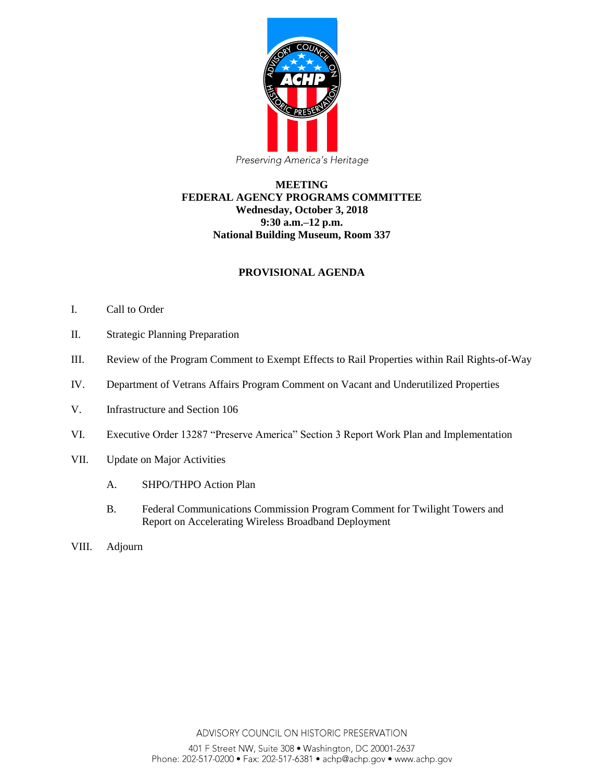

### **MEETING FEDERAL AGENCY PROGRAMS COMMITTEE Wednesday, October 3, 2018 9:30 a.m.–12 p.m. National Building Museum, Room 337**

## **PROVISIONAL AGENDA**

- I. Call to Order
- II. Strategic Planning Preparation
- III. Review of the Program Comment to Exempt Effects to Rail Properties within Rail Rights-of-Way
- IV. Department of Vetrans Affairs Program Comment on Vacant and Underutilized Properties
- V. Infrastructure and Section 106
- VI. Executive Order 13287 "Preserve America" Section 3 Report Work Plan and Implementation
- VII. Update on Major Activities
	- A. SHPO/THPO Action Plan
	- B. Federal Communications Commission Program Comment for Twilight Towers and Report on Accelerating Wireless Broadband Deployment
- VIII. Adjourn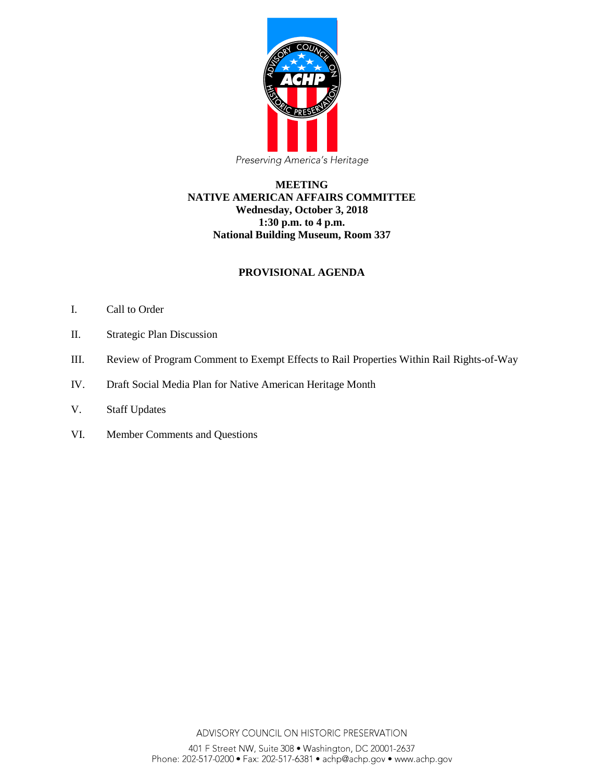

### **MEETING NATIVE AMERICAN AFFAIRS COMMITTEE Wednesday, October 3, 2018 1:30 p.m. to 4 p.m. National Building Museum, Room 337**

# **PROVISIONAL AGENDA**

- I. Call to Order
- II. Strategic Plan Discussion
- III. Review of Program Comment to Exempt Effects to Rail Properties Within Rail Rights-of-Way
- IV. Draft Social Media Plan for Native American Heritage Month
- V. Staff Updates
- VI. Member Comments and Questions